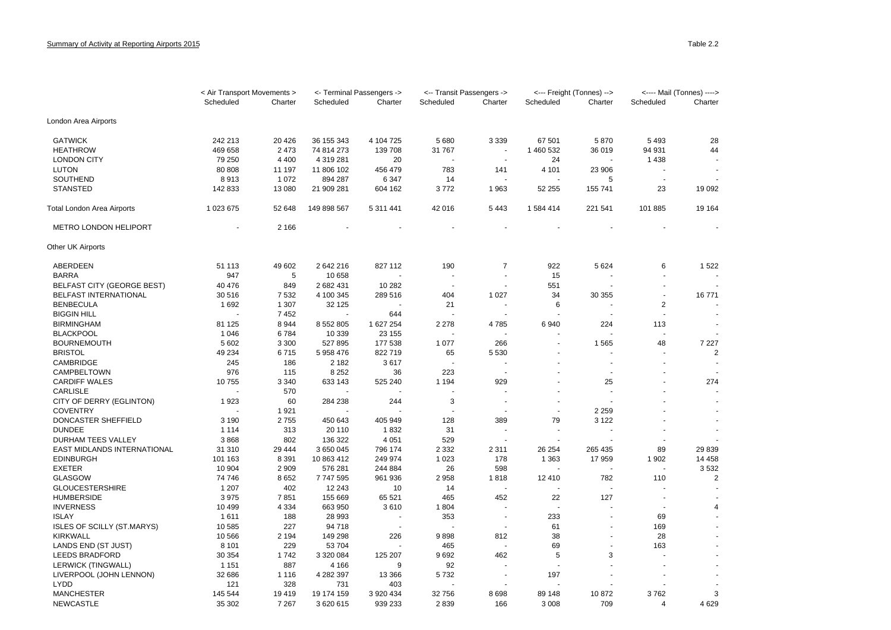|                                   | < Air Transport Movements > |         | <- Terminal Passengers -> |           | <-- Transit Passengers -> |                          | <--- Freight (Tonnes) --> |         | <---- Mail (Tonnes) ----> |                |
|-----------------------------------|-----------------------------|---------|---------------------------|-----------|---------------------------|--------------------------|---------------------------|---------|---------------------------|----------------|
|                                   | Scheduled                   | Charter | Scheduled                 | Charter   | Scheduled                 | Charter                  | Scheduled                 | Charter | Scheduled                 | Charter        |
| London Area Airports              |                             |         |                           |           |                           |                          |                           |         |                           |                |
| <b>GATWICK</b>                    | 242 213                     | 20 4 26 | 36 155 343                | 4 104 725 | 5 6 8 0                   | 3 3 3 9                  | 67 501                    | 5870    | 5 4 9 3                   | 28             |
| <b>HEATHROW</b>                   | 469 658                     | 2 4 7 3 | 74 814 273                | 139 708   | 31 767                    | $\overline{\phantom{a}}$ | 1 460 532                 | 36 019  | 94 931                    | 44             |
| <b>LONDON CITY</b>                | 79 250                      | 4 4 0 0 | 4 319 281                 | 20        |                           | ÷.                       | 24                        |         | 1438                      |                |
| <b>LUTON</b>                      | 80 80 8                     | 11 197  | 11 806 102                | 456 479   | 783                       | 141                      | 4 1 0 1                   | 23 906  |                           |                |
| SOUTHEND                          | 8913                        | 1 0 7 2 | 894 287                   | 6 3 4 7   | 14                        |                          |                           | 5       |                           |                |
| <b>STANSTED</b>                   | 142 833                     | 13 080  | 21 909 281                | 604 162   | 3772                      | 1963                     | 52 255                    | 155 741 | 23                        | 19 092         |
| Total London Area Airports        | 1 023 675                   | 52 648  | 149 898 567               | 5 311 441 | 42 016                    | 5 4 4 3                  | 1 584 414                 | 221 541 | 101 885                   | 19 164         |
| METRO LONDON HELIPORT             |                             | 2 1 6 6 |                           |           |                           |                          |                           |         |                           |                |
| Other UK Airports                 |                             |         |                           |           |                           |                          |                           |         |                           |                |
| ABERDEEN                          | 51 113                      | 49 602  | 2 642 216                 | 827 112   | 190                       | $\overline{7}$           | 922                       | 5 6 2 4 | 6                         | 1 5 2 2        |
| <b>BARRA</b>                      | 947                         | 5       | 10 658                    |           |                           |                          | 15                        |         |                           |                |
| <b>BELFAST CITY (GEORGE BEST)</b> | 40 476                      | 849     | 2 682 431                 | 10 282    |                           |                          | 551                       |         |                           |                |
| <b>BELFAST INTERNATIONAL</b>      | 30 516                      | 7532    | 4 100 345                 | 289 516   | 404                       | 1 0 2 7                  | 34                        | 30 355  |                           | 16771          |
| <b>BENBECULA</b>                  | 1692                        | 1 3 0 7 | 32 125                    |           | 21                        |                          | 6                         |         | 2                         |                |
| <b>BIGGIN HILL</b>                |                             | 7452    |                           | 644       |                           |                          |                           |         |                           |                |
| <b>BIRMINGHAM</b>                 | 81 125                      | 8944    | 8 5 5 2 8 0 5             | 1 627 254 | 2 2 7 8                   | 4785                     | 6940                      | 224     | 113                       |                |
| <b>BLACKPOOL</b>                  | 1 0 4 6                     | 6784    | 10 339                    | 23 155    |                           |                          |                           |         |                           |                |
| <b>BOURNEMOUTH</b>                | 5 602                       | 3 3 0 0 | 527 895                   | 177 538   | 1077                      | 266                      |                           | 1 5 6 5 | 48                        | 7 2 2 7        |
| <b>BRISTOL</b>                    | 49 234                      | 6715    | 5 958 476                 | 822 719   | 65                        | 5 5 3 0                  |                           |         |                           | $\overline{c}$ |
| CAMBRIDGE                         | 245                         | 186     | 2 1 8 2                   | 3617      |                           |                          |                           | $\sim$  |                           | $\sim$         |
| CAMPBELTOWN                       | 976                         | 115     | 8 2 5 2                   | 36        | 223                       |                          |                           |         |                           |                |
| <b>CARDIFF WALES</b>              | 10755                       | 3 3 4 0 | 633 143                   | 525 240   | 1 1 9 4                   | 929                      |                           | 25      |                           | 274            |
| <b>CARLISLE</b>                   |                             | 570     |                           |           |                           |                          |                           |         |                           |                |
| CITY OF DERRY (EGLINTON)          | 1923                        | 60      | 284 238                   | 244       | 3                         | ÷.                       | ÷.                        |         |                           |                |
| <b>COVENTRY</b>                   |                             | 1921    |                           |           |                           |                          | $\sim$                    | 2 2 5 9 |                           |                |
| DONCASTER SHEFFIELD               | 3 1 9 0                     | 2755    | 450 643                   | 405 949   | 128                       | 389                      | 79                        | 3 1 2 2 |                           |                |
| <b>DUNDEE</b>                     | 1 1 1 4                     | 313     | 20 110                    | 1832      | 31                        |                          |                           |         |                           |                |
| DURHAM TEES VALLEY                | 3868                        | 802     | 136 322                   | 4 0 5 1   | 529                       |                          |                           |         |                           |                |
| EAST MIDLANDS INTERNATIONAL       | 31 310                      | 29 4 44 | 3 650 045                 | 796 174   | 2 3 3 2                   | 2 3 1 1                  | 26 254                    | 265 435 | 89                        | 29 839         |
| <b>EDINBURGH</b>                  | 101 163                     | 8 3 9 1 | 10 863 412                | 249 974   | 1 0 2 3                   | 178                      | 1 3 6 3                   | 17959   | 1 902                     | 14 4 58        |
| <b>EXETER</b>                     | 10 904                      | 2 9 0 9 | 576 281                   | 244 884   | 26                        | 598                      |                           |         |                           | 3532           |
| <b>GLASGOW</b>                    | 74746                       | 8652    | 7747595                   | 961 936   | 2 9 5 8                   | 1818                     | 12 410                    | 782     | 110                       | 2              |
| <b>GLOUCESTERSHIRE</b>            | 1 2 0 7                     | 402     | 12 243                    | 10        | 14                        |                          |                           |         |                           |                |
| <b>HUMBERSIDE</b>                 | 3 9 7 5                     | 7851    | 155 669                   | 65 5 21   | 465                       | 452                      | 22                        | 127     |                           |                |
| <b>INVERNESS</b>                  | 10 4 9 9                    | 4 3 3 4 | 663 950                   | 3610      | 1 804                     | $\overline{\phantom{a}}$ |                           |         |                           | 4              |
| <b>ISLAY</b>                      | 1611                        | 188     | 28 993                    |           | 353                       | $\blacksquare$           | 233                       |         | 69                        |                |
| <b>ISLES OF SCILLY (ST.MARYS)</b> | 10 585                      | 227     | 94 718                    |           |                           |                          | 61                        |         | 169                       |                |
| <b>KIRKWALL</b>                   | 10 566                      | 2 1 9 4 | 149 298                   | 226       | 9898                      | 812                      | 38                        |         | 28                        |                |
| LANDS END (ST JUST)               | 8 1 0 1                     | 229     | 53 704                    |           | 465                       |                          | 69                        |         | 163                       |                |
| <b>LEEDS BRADFORD</b>             | 30 354                      | 1742    | 3 320 084                 | 125 207   | 9692                      | 462                      | 5                         | 3       |                           |                |
| <b>LERWICK (TINGWALL)</b>         | 1 1 5 1                     | 887     | 4 1 6 6                   | 9         | 92                        |                          |                           |         |                           |                |
| LIVERPOOL (JOHN LENNON)           | 32 686                      | 1 1 1 6 | 4 282 397                 | 13 3 66   | 5732                      |                          | 197                       |         |                           |                |
| <b>LYDD</b>                       | 121                         | 328     | 731                       | 403       |                           |                          |                           |         |                           |                |
| <b>MANCHESTER</b>                 | 145 544                     | 19419   | 19 174 159                | 3 920 434 | 32 756                    | 8698                     | 89 148                    | 10872   | 3762                      | 3              |
| <b>NEWCASTLE</b>                  | 35 302                      | 7 2 6 7 | 3 620 615                 | 939 233   | 2839                      | 166                      | 3 0 0 8                   | 709     | $\overline{4}$            | 4 6 2 9        |